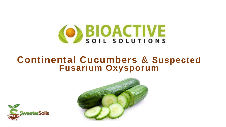

# **Continental Cucumbers & Suspected Fusarium Oxysporum**



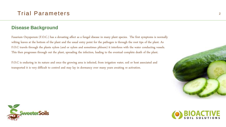#### **Disease Background**

Fusarium Oxysporum (F.O.C.) has a devasting affect as a fungal disease in many plant species. The first symptoms is normally wilting leaves at the bottom of the plant and the usual entry point for the pathogen is through the root tips of the plant. As F.O.C travels through the plants xylem (and or xylem and sometimes phloem) it interferes with the water conducting vessels. This then progresses through out the plant, spreading the infection, leading to the eventual complete death of the plant.

F.O.C is enduring in its nature and once the growing area is infected, from irrigation water, soil or host associated and transported it is very difficult to control and may lay in dormancy over many years awaiting re activation.





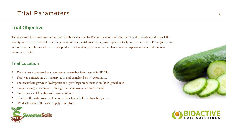### **Trial Objective**

The objective of this trial was to ascertain whether using Bioptiv Bactivate granule and Bactivate liquid products could impact the severity or occurrence of F.O.C. in the growing of continental cucumbers grown hydroponically in coir substrate. The objective was to inoculate the substrate with Bactivate products in the attempt to increase the plants defense response systems and immune response to F.O.C.

#### **Trial Location**

- The trial was conducted at a commercial cucumber farm located in SE Qld.
- Trial was initiated on 23rd January 2019 and completed on 3rd April 2019.
- The cucumbers grown in hydroponic coir grow bags on suspended trellis in greenhouse.
- Plastic housing greenhouses with high wall and ventilation in each end.
- Block consists of 8 arches with rows of 47 metres
- Irrigation through arrow emitters on a climate controlled automatic system.
- UV sterilization of the water supply is in place





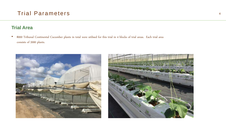### **Trial Area**

• 8000 Tribunal Continental Cucumber plants in total were utilised for this trial in 4 blocks of trial areas. Each trial area consists of 2000 plants.



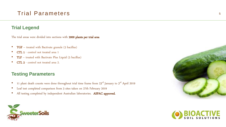### **Trial Legend**

The trial areas were divided into sections with 2000 plants per trial area

- TGF treated with Bactivate granule (5 bacillus)
- CTL 1 control not treated area 1
- $TLF treated with Bactivate Plus Liquid (5 bacillus)$
- CTL 2 control not treated area 2.

### **Testing Parameters**

- 11 plant death counts were done throughout trial time frame from  $23<sup>rd</sup>$  January to  $3<sup>rd</sup>$  April 2019
- Leaf test completed comparison from 3 sites taken on 27th February 2019
- All testing completed by independent Australian laboratories. ASPAC approved.





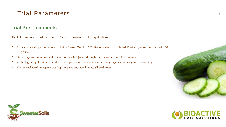#### **Trial Pre-Treatments**

The following was carried out prior to Bactivate biological product applications.

- All plants are dipped in seaweed solution Seasol 750ml to 200 litre of water and included Previcur (active Propamocarb 600 g/L) 150ml .
- Grow bags are pre wet and calcium nitrate is injected through the system at the initial instance.
- All biological application of products took place after the above and at the 3 days planted stage of the seedlings.
- The normal fertiliser regime was kept in place and equal across all trial areas.





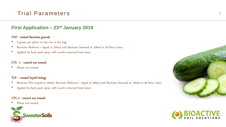### **First Application – 23rd January 2019**

#### TGF - treated Bactivate granule

- 3 grams per plant on top coir in the bag.
- Bactivate Bioboost + liquid at 200ml and Bactivate Seaweed at 100ml to 30 litres water.
- Applied by back pack spray with nozzle removed from lance.

#### CTL 1 - control not treated

Plants not treated.

#### TLF – treated liquid biology

- Bactivate Plus Liquid at 100ml, Bactivate Bioboost + liquid at 200ml and Bactivate Seaweed at 100ml to 30 litres water.
- Applied by back pack spray with nozzle removed from lance.

#### CTL 2 - control not treated

• Plants not treated.





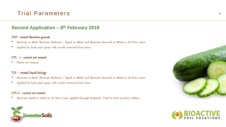### **Second Application – 8 th February 2019**

#### TGF - treated Bactivate granule

- Bactivate at 90ml, Bactivate Bioboost + liquid at 400ml and Bactivate Seaweed at 200ml to 30 litres water
- Applied by back pack spray with nozzle removed from lance.

#### CTL 1 - control not treated

• Plants not treated.

#### TLF – treated liquid biology

- Bactivate at 90ml, Bactivate Bioboost + liquid at 400ml and Bactivate Seaweed at 200ml to 30 litres water
- Applied by back pack spray with nozzle removed from lance.

#### CTL 2 - control not treated

• Bactivate liquid at 105ml to 45 litres water applied through backpack. Used to treat powdery mildew.





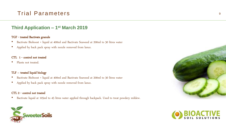### **Third Application – 1 st March 2019**

#### TGF - treated Bactivate granule

- Bactivate Bioboost + liquid at 400ml and Bactivate Seaweed at 200ml to 30 litres water
- Applied by back pack spray with nozzle removed from lance.

#### CTL 1 - control not treated

• Plants not treated.

#### TLF – treated liquid biology

- Bactivate Bioboost + liquid at 400ml and Bactivate Seaweed at 200ml to 30 litres water
- Applied by back pack spray with nozzle removed from lance.

#### CTL 2 - control not treated

• Bactivate liquid at 105ml to 45 litres water applied through backpack. Used to treat powdery mildew.





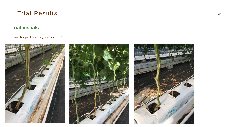### **Trial Visuals**

Cucumber plants suffering suspected F.O.C.

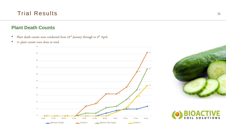### **Plant Death Counts**

- Plant death counts were conducted from  $23^{\text{rd}}$  January through to  $3^{\text{rd}}$  April.
- 11 plant counts were done in total





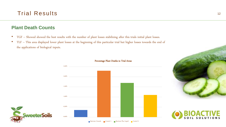### **Plant Death Counts**

- TGF Showed showed the best results with the number of plant losses stabilizing after this trials initial plant losses.
- TLF This area displayed lower plant losses at the beginning of this particular trial but higher losses towards the end of the applications of biological inputs.







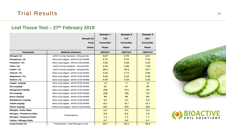#### **Leaf Tissue Test – 27th February 2019**

| <b>Sample ID:</b><br>Crop:<br><b>Client:</b> |                                        | Sample 1<br><b>TGF</b><br><b>Cucumber</b><br>Pham | Sample 2<br><b>TLF</b><br><b>Cucumber</b><br>Pham | Sample 3<br><b>CNT</b><br><b>Cucumber</b><br>Pham |
|----------------------------------------------|----------------------------------------|---------------------------------------------------|---------------------------------------------------|---------------------------------------------------|
| Parameter                                    | <b>Method reference</b>                | H8970/1                                           | H8970/2                                           | H8970/3                                           |
| Nitrogen (%)                                 | LECO Trumac Analyser - Inhouse S4a     | 5.87                                              | 5.79                                              | 5.91                                              |
| Phosphorus (%)                               | Nitric Acid digest - APHA 3125 ICPMS   | 0.72                                              | 0.70                                              | 0.76                                              |
| Potassium (%)                                | Nitric Acid digest - APHA 3125 ICPMS   | 5.65                                              | 5.58                                              | 5.34                                              |
| Sulfur (%)                                   | LECO Trumac Analyser - Inhouse S4a     | 0.95                                              | 0.89                                              | 1.05                                              |
| Carbon (%)                                   | LECO Trumac Analyser - Inhouse S4a     | 39.4                                              | 39.5                                              | 39.7                                              |
| Calcium (%)                                  | Nitric Acid digest - APHA 3125 ICPMS   | 3.29                                              | 3.12                                              | 2.99                                              |
| Magnesium (%)                                | Nitric Acid digest - APHA 3125 ICPMS   | 0.54                                              | 0.54                                              | 0.48                                              |
| Sodium (%)                                   | Nitric Acid digest - APHA 3125 ICPMS   | 0.03                                              | 0.03                                              | 0.03                                              |
| Copper (mg/kg)                               | Nitric Acid digest - APHA 3125 ICPMS   | 12                                                | 11                                                | 12                                                |
| Zinc (mg/kg)                                 | Nitric Acid digest - APHA 3125 ICPMS   | 26                                                | 31                                                | 29                                                |
| Manganese (mg/kg)                            | Nitric Acid digest - APHA 3125 ICPMS   | 208                                               | 214                                               | 191                                               |
| Iron (mg/kg)                                 | Nitric Acid digest - APHA 3125 ICPMS   | 208                                               | 185                                               | 127                                               |
| Boron (mg/kg)                                | Nitric Acid digest - APHA 3125 ICPMS   | 89                                                | 89                                                | 84                                                |
| Molybdenum (mg/kg)                           | Nitric Acid digest - APHA 3125 ICPMS   | 5.6                                               | 5.0                                               | 5.9                                               |
| Cobalt (mg/kg)                               | Nitric Acid digest - APHA 3125 ICPMS   | 50.1                                              | 50.1                                              | 50.1                                              |
| Silicon (mg/kg)                              | **Nitric Acid digest - APHA 3125 ICPMS | 551                                               | 533                                               | 534                                               |
| <b>Nitrogen: Sulfur Ratio</b>                | **Calculations                         | 6.2                                               | 6.5                                               | 5.6                                               |
| Nitrogen : Phosphorus Ratio                  |                                        | 8.2                                               | 8.2                                               | 7.8                                               |
| Nitrogen : Potassium Ratio                   |                                        | 1.0                                               | 1.0                                               | 1.1                                               |
| <b>Carbon: Nitrogen Ratio</b>                |                                        | 6.7                                               | 6.8                                               | 6.7                                               |
| Crude Protein (%)                            | **Calculation: Total Nitrogen x 6.25   | 36.7                                              | 36.2                                              | 36.9                                              |



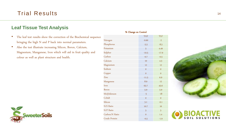#### **Leaf Tissue Test Analysis**

- The leaf test results show the correction of the Biochemical sequence bringing the high N and P back into normal parameters.
- Also the test illustrate increasing Silicon, Boron, Calcium, Magnesium, Manganese, Iron which will aid in fruit quality and colour as well as plant structure and health.



#### TGF TLF Nitrogen -0.60 -2 Phosphorus -5.5 -8.5 Potassium 5 4.49 Sulphur -10.5 -17.9 Carbon -0.7 -0.5 Calcium 10 4.3 Magnesium 12 12 12 Sodium 0 0 Copper 0 0  $\frac{2 \text{inc}}{11.5}$  6.9 Manganese 8.9 12  $Iron$  63.7 45.6 Boron 5.9 5.9 5.9 Molybdenum -5 -18 Cobalt 0 0 Silicon 3.1  $-0.1$ N/S Ratio 10.7 16 N/P Ratio 5 5 Carbon/N Ratio 0 1.4 Crude Protein -0.5 -1.9

% Change on Control



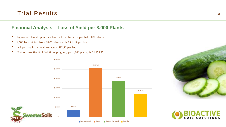### **Financial Analysis – Loss of Yield per 8,000 Plants**

- Figures are based upon pick figures for entire area planted. 8000 plants
- 4,500 bags picked from 8,000 plants with 15 fruit per bag
- Sell per bag for annual average is \$12.50 per bag.
- Cost of Bioactive Soil Solutions program, per 8,000 plants, is \$1,159.95





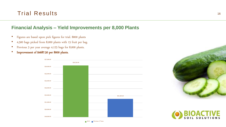### **Financial Analysis – Yield Improvements per 8,000 Plants**

- Figures are based upon pick figures for trial. 8000 plants
- 4,500 bags picked from 8,000 plants with 15 fruit per bag.
- Previous 3 per year average 4,125 bags for 8,000 plants.
- Improvement of \$4687.50 per 8000 plants.





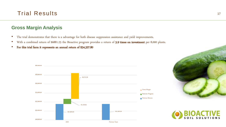

#### **Gross Margin Analysis**

- The trial demonstrates that there is a advantage for both disease suppression assistance and yield improvements.
- With a combined return of \$6881.25 the Bioactive program provides a return of 5.9 times on investment per 8,000 plants.
- For this trial farm it represents an annual return of \$34,327.80





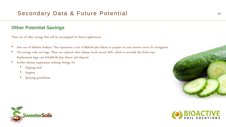### **Other Potential Savings**

There are of other savings that will be investigated for future applications

- Non use of Metham Sodium. This represents a cost of \$830.00 plus labour to prepare are and remove covers for fumigation.
- The savings with coir bags. These are replaced when disease levels exceed 20%, which is normally the third crop. Replacement bags cost \$19,000.00 plus labour and disposal.
- Further disease suppression utilising biology for
	- Dipping tools
	- Hygiene
	- Spraying greenhouse